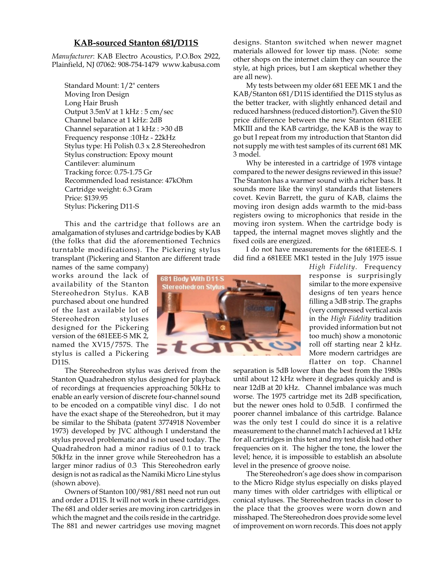## **KAB-sourced Stanton 681/D11S**

*Manufacturer*: KAB Electro Acoustics, P.O.Box 2922, Plainfield, NJ 07062: 908-754-1479 www.kabusa.com

Standard Mount: 1/2" centers Moving Iron Design Long Hair Brush Output 3.5mV at 1 kHz : 5 cm/sec Channel balance at 1 kHz: 2dB Channel separation at 1 kHz : >30 dB Frequency response :10Hz - 22kHz Stylus type: Hi Polish 0.3 x 2.8 Stereohedron Stylus construction: Epoxy mount Cantilever: aluminum Tracking force: 0.75-1.75 Gr Recommended load resistance: 47kOhm Cartridge weight: 6.3 Gram Price: \$139.95 Stylus: Pickering D11-S

This and the cartridge that follows are an amalgamation of styluses and cartridge bodies by KAB (the folks that did the aforementioned Technics turntable modifications). The Pickering stylus transplant (Pickering and Stanton are different trade

names of the same company) works around the lack of availability of the Stanton Stereohedron Stylus. KAB purchased about one hundred of the last available lot of Stereohedron styluses designed for the Pickering version of the 681EEE-S MK 2, named the XV15/757S. The stylus is called a Pickering D11S.

The Stereohedron stylus was derived from the Stanton Quadrahedron stylus designed for playback of recordings at frequencies approaching 50kHz to enable an early version of discrete four-channel sound to be encoded on a compatible vinyl disc. I do not have the exact shape of the Stereohedron, but it may be similar to the Shibata (patent 3774918 November 1973) developed by JVC although I understand the stylus proved problematic and is not used today. The Quadrahedron had a minor radius of 0.1 to track 50kHz in the inner grove while Stereohedron has a larger minor radius of 0.3 This Stereohedron early design is not as radical as the Namiki Micro Line stylus (shown above).

Owners of Stanton 100/981/881 need not run out and order a D11S. It will not work in these cartridges. The 681 and older series are moving iron cartridges in which the magnet and the coils reside in the cartridge. The 881 and newer cartridges use moving magnet designs. Stanton switched when newer magnet materials allowed for lower tip mass. (Note: some other shops on the internet claim they can source the style, at high prices, but I am skeptical whether they are all new).

My tests between my older 681 EEE MK 1 and the KAB/Stanton 681/D11S identified the D11S stylus as the better tracker, with slightly enhanced detail and reduced harshness (reduced distortion?). Given the \$10 price difference between the new Stanton 681EEE MKIII and the KAB cartridge, the KAB is the way to go but I repeat from my introduction that Stanton did not supply me with test samples of its current 681 MK 3 model.

Why be interested in a cartridge of 1978 vintage compared to the newer designs reviewed in this issue? The Stanton has a warmer sound with a richer bass. It sounds more like the vinyl standards that listeners covet. Kevin Barrett, the guru of KAB, claims the moving iron design adds warmth to the mid-bass registers owing to microphonics that reside in the moving iron system. When the cartridge body is tapped, the internal magnet moves slightly and the fixed coils are energized.

I do not have measurements for the 681EEE-S. I did find a 681EEE MK1 tested in the July 1975 issue

> *High Fidelity*. Frequency response is surprisingly similar to the more expensive designs of ten years hence filling a 3dB strip. The graphs (very compressed vertical axis in the *High Fidelity* tradition provided information but not too much) show a monotonic roll off starting near 2 kHz. More modern cartridges are flatter on top. Channel

separation is 5dB lower than the best from the 1980s until about 12 kHz where it degrades quickly and is near 12dB at 20 kHz. Channel imbalance was much worse. The 1975 cartridge met its 2dB specification, but the newer ones hold to 0.5dB. I confirmed the poorer channel imbalance of this cartridge. Balance was the only test I could do since it is a relative measurement to the channel match I achieved at 1 kHz for all cartridges in this test and my test disk had other frequencies on it. The higher the tone, the lower the level; hence, it is impossible to establish an absolute level in the presence of groove noise.

The Stereohedron's age does show in comparison to the Micro Ridge stylus especially on disks played many times with older cartridges with elliptical or conical styluses. The Stereohedron tracks in closer to the place that the grooves were worn down and misshaped. The Stereohedron does provide some level of improvement on worn records. This does not apply